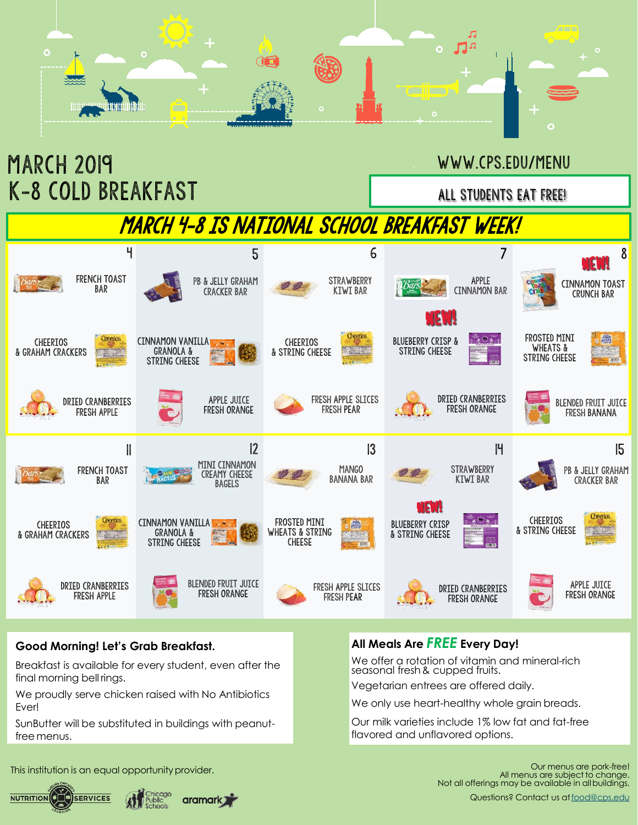



### **Good Morning! Let's Grab Breakfast.**

Breakfast is available for every student, even after the final morning bell rings.

We proudly serve chicken raised with No Antibiotics Ever!

SunButter will be substituted in buildings with peanutfree menus.

#### **All Meals Are** *FREE* **Every Day!**

We offer a rotation of vitamin and mineral-rich seasonal fresh& cupped fruits.

Vegetarian entrees are offered daily.

We only use heart-healthy whole grain breads.

Our milk varieties include 1% low fat and fat-free flavored and unflavored options.

This institution is an equal opportunity provider.



aramark **The Structure** 

Our menus are pork-free! All menus are subject to change. Not all offerings may be available in allbuildings.

Questions? Contact us at [food@cps.edu](mailto:food@cps.edu)